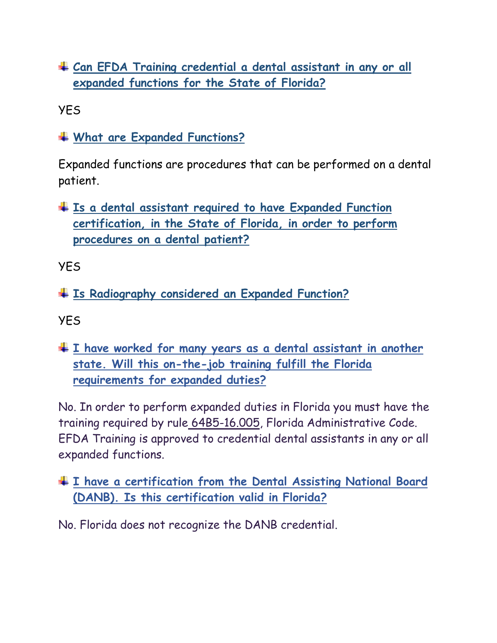**Can EFDA Training credential a dental assistant in any or all expanded functions for the State of Florida?**

YES

**What are Expanded Functions?**

Expanded functions are procedures that can be performed on a dental patient.

**Is a dental assistant required to have Expanded Function certification, in the State of Florida, in order to perform procedures on a dental patient?**

YES

**Is Radiography considered an Expanded Function?**

YES

**[I have worked for many years as a dental assistant in another](https://floridasdentistry.gov/help-center/i-have-worked-for-many-years-as-a-dental-assistant-in-another-state-will-this-on-the-job-training-fulfill-the-florida-requirements-for-expanded-duties/)  [state. Will this on-the-job training fulfill the Florida](https://floridasdentistry.gov/help-center/i-have-worked-for-many-years-as-a-dental-assistant-in-another-state-will-this-on-the-job-training-fulfill-the-florida-requirements-for-expanded-duties/)  requirements [for expanded duties?](https://floridasdentistry.gov/help-center/i-have-worked-for-many-years-as-a-dental-assistant-in-another-state-will-this-on-the-job-training-fulfill-the-florida-requirements-for-expanded-duties/)**

No. In order to perform expanded duties in Florida you must have the training required by rule [64B5-16.005,](https://www.flrules.org/gateway/RuleNo.asp?title=REMEDIABLE%20TASKS%20DELEGABLE%20TO%20DENTAL%20HYGIENISTS%20AND%20DENTAL%20ASSISTANTS&ID=64B5-16.005) Florida Administrative Code. EFDA Training is approved to credential dental assistants in any or all expanded functions.

### **[I have a certification from the Dental Assisting National Board](https://floridasdentistry.gov/help-center/i-have-a-certification-from-the-dental-assisting-national-board-danb-is-this-certification-valid-in-florida/)  [\(DANB\). Is this certification valid in Florida?](https://floridasdentistry.gov/help-center/i-have-a-certification-from-the-dental-assisting-national-board-danb-is-this-certification-valid-in-florida/)**

No. Florida does not recognize the DANB credential.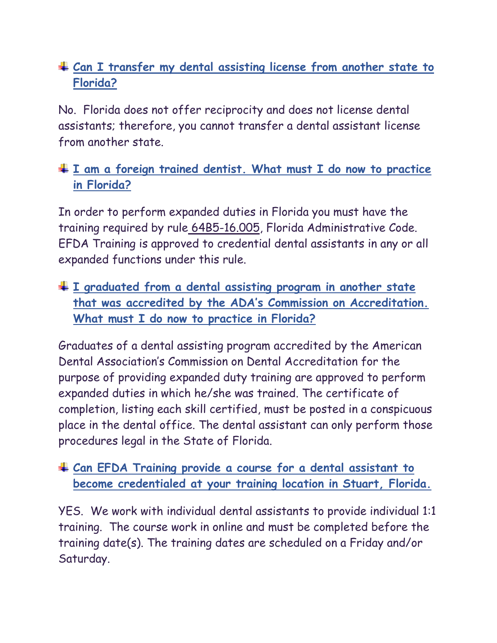# **[Can I transfer my dental assisting license from another state to](https://floridasdentistry.gov/help-center/can-i-transfer-my-dental-assisting-license-from-another-state-to-florida/)  [Florida?](https://floridasdentistry.gov/help-center/can-i-transfer-my-dental-assisting-license-from-another-state-to-florida/)**

No. Florida does not offer reciprocity and does not license dental assistants; therefore, you cannot transfer a dental assistant license from another state.

## **[I am a foreign trained dentist. What must I do now to practice](https://floridasdentistry.gov/help-center/i-graduated-from-a-dental-assisting-program-in-another-state-that-was-accredited-by-the-adas-commission-on-accreditation-what-must-i-do-now-to-practice-in-florida/)  [in Florida?](https://floridasdentistry.gov/help-center/i-graduated-from-a-dental-assisting-program-in-another-state-that-was-accredited-by-the-adas-commission-on-accreditation-what-must-i-do-now-to-practice-in-florida/)**

In order to perform expanded duties in Florida you must have the training required by rule [64B5-16.005,](https://www.flrules.org/gateway/RuleNo.asp?title=REMEDIABLE%20TASKS%20DELEGABLE%20TO%20DENTAL%20HYGIENISTS%20AND%20DENTAL%20ASSISTANTS&ID=64B5-16.005) Florida Administrative Code. EFDA Training is approved to credential dental assistants in any or all expanded functions under this rule.

**[I graduated from a dental assisting program in another state](https://floridasdentistry.gov/help-center/i-graduated-from-a-dental-assisting-program-in-another-state-that-was-accredited-by-the-adas-commission-on-accreditation-what-must-i-do-now-to-practice-in-florida/)  that was accredited [by the ADA's Commission on Accreditation.](https://floridasdentistry.gov/help-center/i-graduated-from-a-dental-assisting-program-in-another-state-that-was-accredited-by-the-adas-commission-on-accreditation-what-must-i-do-now-to-practice-in-florida/)  [What must I do now to practice in Florida?](https://floridasdentistry.gov/help-center/i-graduated-from-a-dental-assisting-program-in-another-state-that-was-accredited-by-the-adas-commission-on-accreditation-what-must-i-do-now-to-practice-in-florida/)**

Graduates of a dental assisting program accredited by the American Dental Association's Commission on Dental Accreditation for the purpose of providing expanded duty training are approved to perform expanded duties in which he/she was trained. The certificate of completion, listing each skill certified, must be posted in a conspicuous place in the dental office. The dental assistant can only perform those procedures legal in the State of Florida.

#### **Can EFDA Training provide a course for a dental assistant to become credentialed at your training location in Stuart, Florida.**

YES. We work with individual dental assistants to provide individual 1:1 training. The course work in online and must be completed before the training date(s). The training dates are scheduled on a Friday and/or Saturday.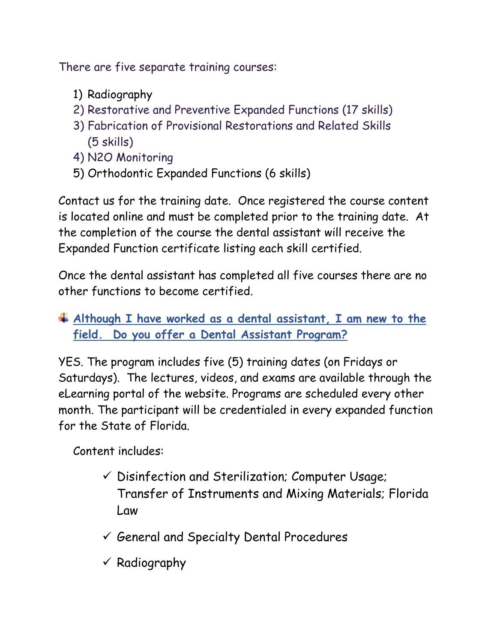There are five separate training courses:

- 1) Radiography
- 2) Restorative and Preventive Expanded Functions (17 skills)
- 3) Fabrication of Provisional Restorations and Related Skills (5 skills)
- 4) N2O Monitoring
- 5) Orthodontic Expanded Functions (6 skills)

Contact us for the training date. Once registered the course content is located online and must be completed prior to the training date. At the completion of the course the dental assistant will receive the Expanded Function certificate listing each skill certified.

Once the dental assistant has completed all five courses there are no other functions to become certified.

## **Although I have worked as a dental assistant, I am new to the field. Do you offer a Dental Assistant Program?**

YES. The program includes five (5) training dates (on Fridays or Saturdays). The lectures, videos, and exams are available through the eLearning portal of the website. Programs are scheduled every other month. The participant will be credentialed in every expanded function for the State of Florida.

Content includes:

- $\checkmark$  Disinfection and Sterilization; Computer Usage; Transfer of Instruments and Mixing Materials; Florida Law
- $\checkmark$  General and Specialty Dental Procedures
- $\checkmark$  Radiography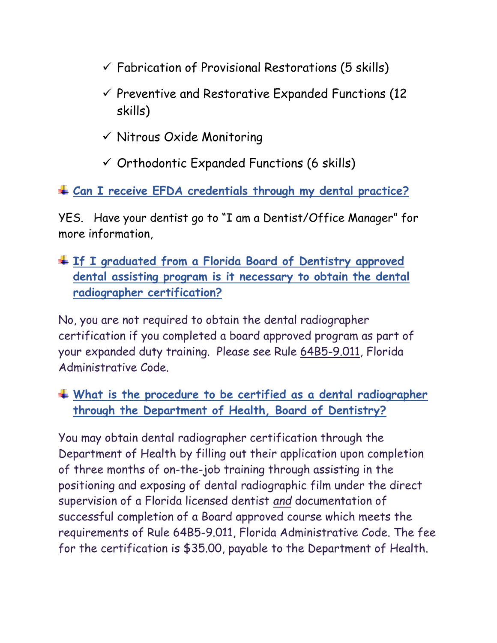- $\checkmark$  Fabrication of Provisional Restorations (5 skills)
- $\checkmark$  Preventive and Restorative Expanded Functions (12) skills)
- ✓ Nitrous Oxide Monitoring
- $\checkmark$  Orthodontic Expanded Functions (6 skills)

**Can I receive EFDA credentials through my dental practice?**

YES. Have your dentist go to "I am a Dentist/Office Manager" for more information,

**[If I graduated from a Florida Board of Dentistry approved](https://floridasdentistry.gov/help-center/if-i-graduated-from-a-board-approved-dental-radiography-program-is-it-necessary-to-obtain-the-dental-radiographer-certification/)  [dental assisting program is it necessary to obtain the dental](https://floridasdentistry.gov/help-center/if-i-graduated-from-a-board-approved-dental-radiography-program-is-it-necessary-to-obtain-the-dental-radiographer-certification/)  [radiographer certification?](https://floridasdentistry.gov/help-center/if-i-graduated-from-a-board-approved-dental-radiography-program-is-it-necessary-to-obtain-the-dental-radiographer-certification/)**

No, you are not required to obtain the dental radiographer certification if you completed a board approved program as part of your expanded duty training. Please see Rule [64B5-9.011,](https://www.flrules.org/gateway/RuleNo.asp?title=PRESCRIPTIONS%20FOR%20DENTAL%20HYGIENE%20SERVICES%20AND%20CERTIFICATION%20OF%20DENTAL%20RADIOGRAPHERS&ID=64B5-9.011) Florida Administrative Code.

**[What is the procedure to be certified as a dental radiographer](https://floridasdentistry.gov/help-center/what-is-the-procedure-to-be-certified-as-a-dental-radiographer-through-the-department-of-health/)  [through the Department of Health, Board of Dentistry?](https://floridasdentistry.gov/help-center/what-is-the-procedure-to-be-certified-as-a-dental-radiographer-through-the-department-of-health/)**

You may obtain dental radiographer certification through the Department of Health by filling out their application upon completion of three months of on-the-job training through assisting in the positioning and exposing of dental radiographic film under the direct supervision of a Florida licensed dentist *and* documentation of successful completion of a Board approved course which meets the requirements of Rule 64B5-9.011, Florida Administrative Code. The fee for the certification is \$35.00, payable to the Department of Health.